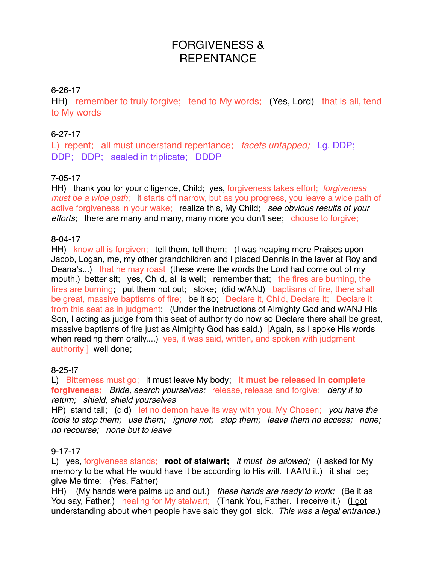# FORGIVENESS & **REPENTANCE**

## 6-26-17

HH) remember to truly forgive; tend to My words; (Yes, Lord) that is all, tend to My words

## 6-27-17

L) repent; all must understand repentance; *facets untapped;* Lg. DDP; DDP; DDP; sealed in triplicate; DDDP

## 7-05-17

HH) thank you for your diligence, Child; yes, forgiveness takes effort; *forgiveness must be a wide path;* it starts off narrow, but as you progress, you leave a wide path of active forgiveness in your wake; realize this, My Child; *see obvious results of your efforts*; there are many and many, many more you don't see; choose to forgive;

#### 8-04-17

HH) know all is forgiven; tell them, tell them; (I was heaping more Praises upon Jacob, Logan, me, my other grandchildren and I placed Dennis in the laver at Roy and Deana's...) that he may roast (these were the words the Lord had come out of my mouth.) better sit; yes, Child, all is well; remember that; the fires are burning, the fires are burning; put them not out; stoke; (did w/ANJ) baptisms of fire, there shall be great, massive baptisms of fire; be it so; Declare it, Child, Declare it; Declare it from this seat as in judgment; (Under the instructions of Almighty God and w/ANJ His Son, I acting as judge from this seat of authority do now so Declare there shall be great, massive baptisms of fire just as Almighty God has said.) [Again, as I spoke His words when reading them orally....) yes, it was said, written, and spoken with judgment authority ] well done;

## 8-25-!7

L) Bitterness must go; it must leave My body; **it must be released in complete forgiveness;** *Bride, search yourselves;* release, release and forgive; *deny it to return; shield, shield yourselves*

HP) stand tall; (did) let no demon have its way with you, My Chosen; *you have the tools to stop them; use them; ignore not; stop them; leave them no access; none; no recourse; none but to leave*

#### 9-17-17

L) yes, forgiveness stands; **root of stalwart;** *it must be allowed;* (I asked for My memory to be what He would have it be according to His will. I AAI'd it.) it shall be; give Me time; (Yes, Father)

HH) (My hands were palms up and out.) *these hands are ready to work;* (Be it as You say, Father.) healing for My stalwart; (Thank You, Father. I receive it.) (I got understanding about when people have said they got sick. *This was a legal entrance.*)